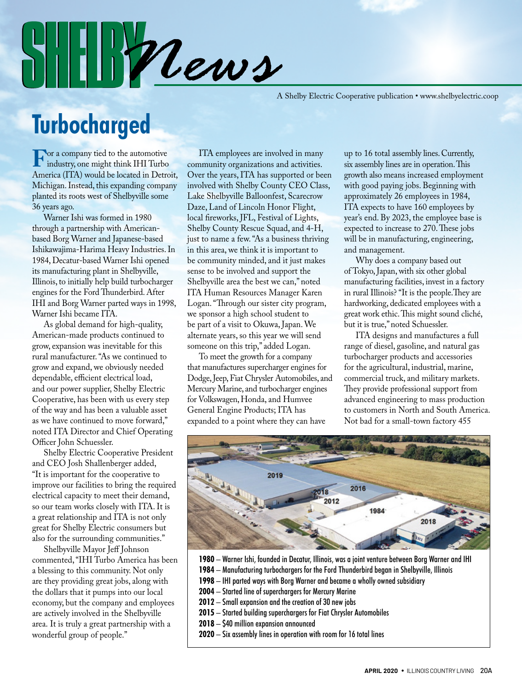

A Shelby Electric Cooperative publication • www.shelbyelectric.coop

### **Turbocharged**

**For a company tied to the automotive**<br>
industry, one might think IHI Turbo<br>
America (ITA) would be located in Detro America (ITA) would be located in Detroit, Michigan. Instead, this expanding company planted its roots west of Shelbyville some 36 years ago.

Warner Ishi was formed in 1980 through a partnership with Americanbased Borg Warner and Japanese-based Ishikawajima-Harima Heavy Industries. In 1984, Decatur-based Warner Ishi opened its manufacturing plant in Shelbyville, Illinois, to initially help build turbocharger engines for the Ford Thunderbird. After IHI and Borg Warner parted ways in 1998, Warner Ishi became ITA.

As global demand for high-quality, American-made products continued to grow, expansion was inevitable for this rural manufacturer. "As we continued to grow and expand, we obviously needed dependable, efficient electrical load, and our power supplier, Shelby Electric Cooperative, has been with us every step of the way and has been a valuable asset as we have continued to move forward," noted ITA Director and Chief Operating Officer John Schuessler.

Shelby Electric Cooperative President and CEO Josh Shallenberger added, "It is important for the cooperative to improve our facilities to bring the required electrical capacity to meet their demand, so our team works closely with ITA. It is a great relationship and ITA is not only great for Shelby Electric consumers but also for the surrounding communities."

Shelbyville Mayor Jeff Johnson commented, "IHI Turbo America has been a blessing to this community. Not only are they providing great jobs, along with the dollars that it pumps into our local economy, but the company and employees are actively involved in the Shelbyville area. It is truly a great partnership with a wonderful group of people."

ITA employees are involved in many community organizations and activities. Over the years, ITA has supported or been involved with Shelby County CEO Class, Lake Shelbyville Balloonfest, Scarecrow Daze, Land of Lincoln Honor Flight, local fireworks, JFL, Festival of Lights, Shelby County Rescue Squad, and 4-H, just to name a few. "As a business thriving in this area, we think it is important to be community minded, and it just makes sense to be involved and support the Shelbyville area the best we can," noted ITA Human Resources Manager Karen Logan. "Through our sister city program, we sponsor a high school student to be part of a visit to Okuwa, Japan. We alternate years, so this year we will send someone on this trip," added Logan.

To meet the growth for a company that manufactures supercharger engines for Dodge, Jeep, Fiat Chrysler Automobiles, and Mercury Marine, and turbocharger engines for Volkswagen, Honda, and Humvee General Engine Products; ITA has expanded to a point where they can have

up to 16 total assembly lines. Currently, six assembly lines are in operation. This growth also means increased employment with good paying jobs. Beginning with approximately 26 employees in 1984, ITA expects to have 160 employees by year's end. By 2023, the employee base is expected to increase to 270. These jobs will be in manufacturing, engineering, and management.

Why does a company based out of Tokyo, Japan, with six other global manufacturing facilities, invest in a factory in rural Illinois? "It is the people.They are hardworking, dedicated employees with a great work ethic. This might sound cliché, but it is true," noted Schuessler.

ITA designs and manufactures a full range of diesel, gasoline, and natural gas turbocharger products and accessories for the agricultural, industrial, marine, commercial truck, and military markets. They provide professional support from advanced engineering to mass production to customers in North and South America. Not bad for a small-town factory 455



- **1980** Warner Ishi, founded in Decatur, Illinois, was a joint venture between Borg Warner and IHI
- **1984** Manufacturing turbochargers for the Ford Thunderbird began in Shelbyville, Illinois
- **1998** IHI parted ways with Borg Warner and became a wholly owned subsidiary
- **2004** Started line of superchargers for Mercury Marine
- **2012** Small expansion and the creation of 30 new jobs
- **2015** Started building superchargers for Fiat Chrysler Automobiles
- **2018** \$40 million expansion announced
- **2020** Six assembly lines in operation with room for 16 total lines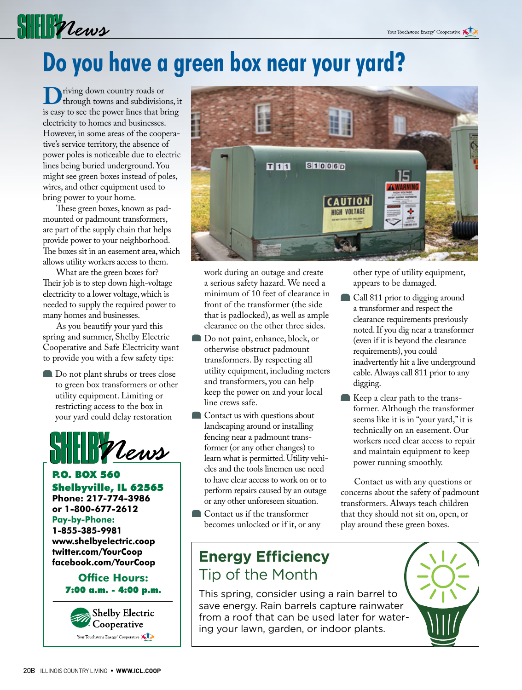# **Do you have a green box near your yard?**

**D**riving down country roads or<br>through towns and subdivisions, it<br>is easy to see the nower lines that bring is easy to see the power lines that bring electricity to homes and businesses. However, in some areas of the cooperative's service territory, the absence of power poles is noticeable due to electric lines being buried underground. You might see green boxes instead of poles, wires, and other equipment used to bring power to your home.

 $\frac{1}{2}$ 

These green boxes, known as padmounted or padmount transformers, are part of the supply chain that helps provide power to your neighborhood. The boxes sit in an easement area, which allows utility workers access to them.

What are the green boxes for? Their job is to step down high-voltage electricity to a lower voltage, which is needed to supply the required power to many homes and businesses.

As you beautify your yard this spring and summer, Shelby Electric Cooperative and Safe Electricity want to provide you with a few safety tips:

**Do not plant shrubs or trees close** to green box transformers or other utility equipment. Limiting or restricting access to the box in your yard could delay restoration



P.O. BOX 560 Shelbyville, IL 62565 **Phone: 217-774-3986 or 1-800-677-2612**

#### **Pay-by-Phone:**

**1-855-385-9981 www.shelbyelectric.coop twitter.com/YourCoop facebook.com/YourCoop**

#### **Office Hours:** 7:00 a.m. - 4:00 p.m.





work during an outage and create a serious safety hazard. We need a minimum of 10 feet of clearance in front of the transformer (the side that is padlocked), as well as ample clearance on the other three sides.

- Do not paint, enhance, block, or otherwise obstruct padmount transformers. By respecting all utility equipment, including meters and transformers, you can help keep the power on and your local line crews safe.
- **Contact us with questions about** landscaping around or installing fencing near a padmount transformer (or any other changes) to learn what is permitted. Utility vehicles and the tools linemen use need to have clear access to work on or to perform repairs caused by an outage or any other unforeseen situation.
- Contact us if the transformer becomes unlocked or if it, or any

### **Energy Efficiency** Tip of the Month

This spring, consider using a rain barrel to save energy. Rain barrels capture rainwater from a roof that can be used later for watering your lawn, garden, or indoor plants.

other type of utility equipment, appears to be damaged.

- Call 811 prior to digging around a transformer and respect the clearance requirements previously noted. If you dig near a transformer (even if it is beyond the clearance requirements), you could inadvertently hit a live underground cable. Always call 811 prior to any digging.
- Keep a clear path to the transformer. Although the transformer seems like it is in "your yard," it is technically on an easement. Our workers need clear access to repair and maintain equipment to keep power running smoothly.

Contact us with any questions or concerns about the safety of padmount transformers. Always teach children that they should not sit on, open, or play around these green boxes.

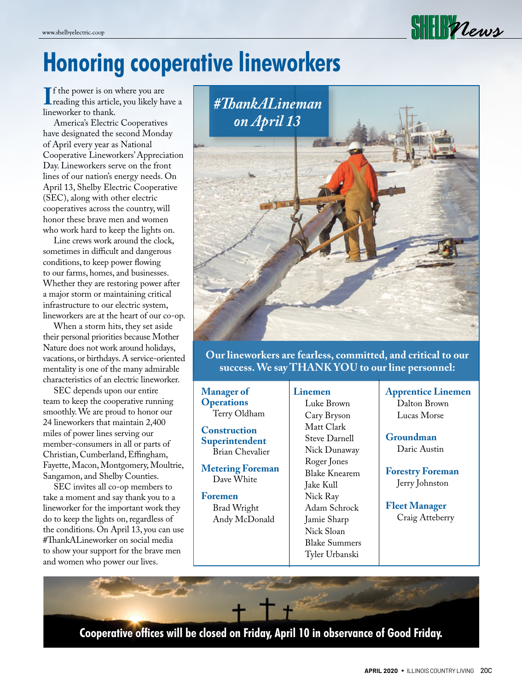# **Honoring cooperative lineworkers**

If the power is on v<br>
reading this article<br>
lineworker to thank. f the power is on where you are reading this article, you likely have a

America's Electric Cooperatives have designated the second Monday of April every year as National Cooperative Lineworkers' Appreciation Day. Lineworkers serve on the front lines of our nation's energy needs. On April 13, Shelby Electric Cooperative (SEC), along with other electric cooperatives across the country, will honor these brave men and women who work hard to keep the lights on.

Line crews work around the clock, sometimes in difficult and dangerous conditions, to keep power flowing to our farms, homes, and businesses. Whether they are restoring power after a major storm or maintaining critical infrastructure to our electric system, lineworkers are at the heart of our co-op.

When a storm hits, they set aside their personal priorities because Mother Nature does not work around holidays, vacations, or birthdays. A service-oriented mentality is one of the many admirable characteristics of an electric lineworker.

SEC depends upon our entire team to keep the cooperative running smoothly. We are proud to honor our 24 lineworkers that maintain 2,400 miles of power lines serving our member-consumers in all or parts of Christian, Cumberland, Effingham, Fayette, Macon, Montgomery, Moultrie, Sangamon, and Shelby Counties.

SEC invites all co-op members to take a moment and say thank you to a lineworker for the important work they do to keep the lights on, regardless of the conditions. On April 13, you can use #ThankALineworker on social media to show your support for the brave men and women who power our lives.



**Our lineworkers are fearless, committed, and critical to our success. We say THANK YOU to our line personnel:**

**Manager of Operations** Terry Oldham

**Construction Superintendent** Brian Chevalier

**Metering Foreman** Dave White

**Foremen** Brad Wright Andy McDonald **Linemen**

Luke Brown Cary Bryson Matt Clark Steve Darnell Nick Dunaway Roger Jones Blake Knearem Jake Kull Nick Ray Adam Schrock Jamie Sharp Nick Sloan Blake Summers Tyler Urbanski

**Apprentice Linemen**

**SHEIR Vews** 

Dalton Brown Lucas Morse

**Groundman** Daric Austin

**Forestry Foreman** Jerry Johnston

**Fleet Manager** Craig Atteberry